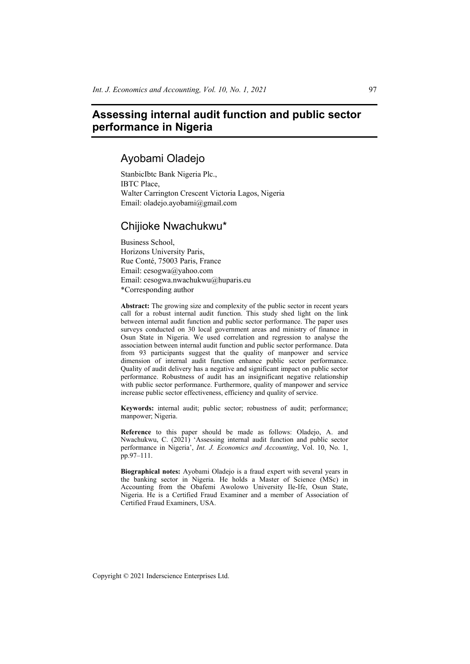# **Assessing internal audit function and public sector performance in Nigeria**

# Ayobami Oladejo

StanbicIbtc Bank Nigeria Plc., IBTC Place, Walter Carrington Crescent Victoria Lagos, Nigeria Email: oladejo.ayobami@gmail.com

# Chijioke Nwachukwu\*

Business School, Horizons University Paris, Rue Conté, 75003 Paris, France Email: cesogwa@yahoo.com Email: cesogwa.nwachukwu@huparis.eu \*Corresponding author

**Abstract:** The growing size and complexity of the public sector in recent years call for a robust internal audit function. This study shed light on the link between internal audit function and public sector performance. The paper uses surveys conducted on 30 local government areas and ministry of finance in Osun State in Nigeria. We used correlation and regression to analyse the association between internal audit function and public sector performance. Data from 93 participants suggest that the quality of manpower and service dimension of internal audit function enhance public sector performance. Quality of audit delivery has a negative and significant impact on public sector performance. Robustness of audit has an insignificant negative relationship with public sector performance. Furthermore, quality of manpower and service increase public sector effectiveness, efficiency and quality of service.

**Keywords:** internal audit; public sector; robustness of audit; performance; manpower; Nigeria.

**Reference** to this paper should be made as follows: Oladejo, A. and Nwachukwu, C. (2021) 'Assessing internal audit function and public sector performance in Nigeria', *Int. J. Economics and Accounting*, Vol. 10, No. 1, pp.97–111.

**Biographical notes:** Ayobami Oladejo is a fraud expert with several years in the banking sector in Nigeria. He holds a Master of Science (MSc) in Accounting from the Obafemi Awolowo University Ile-Ife, Osun State, Nigeria. He is a Certified Fraud Examiner and a member of Association of Certified Fraud Examiners, USA.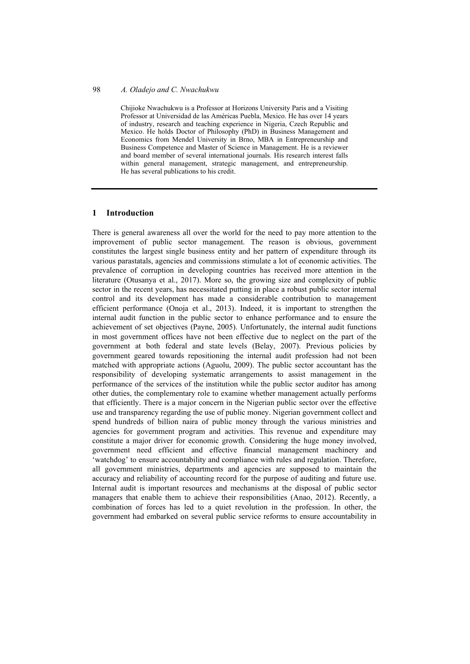Chijioke Nwachukwu is a Professor at Horizons University Paris and a Visiting Professor at Universidad de las Américas Puebla, Mexico. He has over 14 years of industry, research and teaching experience in Nigeria, Czech Republic and Mexico. He holds Doctor of Philosophy (PhD) in Business Management and Economics from Mendel University in Brno, MBA in Entrepreneurship and Business Competence and Master of Science in Management. He is a reviewer and board member of several international journals. His research interest falls within general management, strategic management, and entrepreneurship. He has several publications to his credit.

### **1 Introduction**

There is general awareness all over the world for the need to pay more attention to the improvement of public sector management. The reason is obvious, government constitutes the largest single business entity and her pattern of expenditure through its various parastatals, agencies and commissions stimulate a lot of economic activities. The prevalence of corruption in developing countries has received more attention in the literature (Otusanya et al., 2017). More so, the growing size and complexity of public sector in the recent years, has necessitated putting in place a robust public sector internal control and its development has made a considerable contribution to management efficient performance (Onoja et al., 2013). Indeed, it is important to strengthen the internal audit function in the public sector to enhance performance and to ensure the achievement of set objectives (Payne, 2005). Unfortunately, the internal audit functions in most government offices have not been effective due to neglect on the part of the government at both federal and state levels (Belay, 2007). Previous policies by government geared towards repositioning the internal audit profession had not been matched with appropriate actions (Aguolu, 2009). The public sector accountant has the responsibility of developing systematic arrangements to assist management in the performance of the services of the institution while the public sector auditor has among other duties, the complementary role to examine whether management actually performs that efficiently. There is a major concern in the Nigerian public sector over the effective use and transparency regarding the use of public money. Nigerian government collect and spend hundreds of billion naira of public money through the various ministries and agencies for government program and activities. This revenue and expenditure may constitute a major driver for economic growth. Considering the huge money involved, government need efficient and effective financial management machinery and 'watchdog' to ensure accountability and compliance with rules and regulation. Therefore, all government ministries, departments and agencies are supposed to maintain the accuracy and reliability of accounting record for the purpose of auditing and future use. Internal audit is important resources and mechanisms at the disposal of public sector managers that enable them to achieve their responsibilities (Anao, 2012). Recently, a combination of forces has led to a quiet revolution in the profession. In other, the government had embarked on several public service reforms to ensure accountability in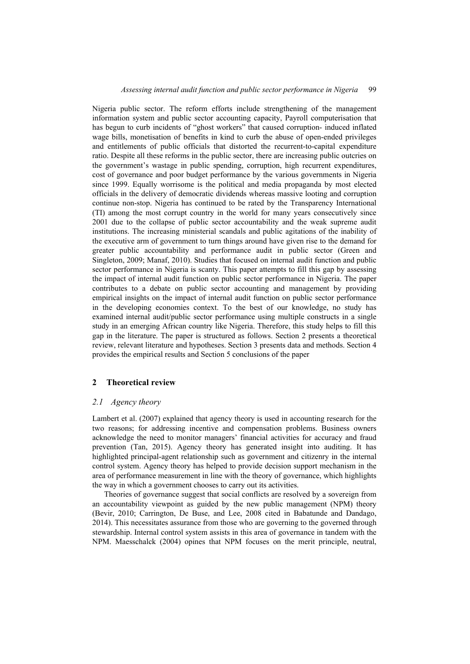Nigeria public sector. The reform efforts include strengthening of the management information system and public sector accounting capacity, Payroll computerisation that has begun to curb incidents of "ghost workers" that caused corruption- induced inflated wage bills, monetisation of benefits in kind to curb the abuse of open-ended privileges and entitlements of public officials that distorted the recurrent-to-capital expenditure ratio. Despite all these reforms in the public sector, there are increasing public outcries on the government's wastage in public spending, corruption, high recurrent expenditures, cost of governance and poor budget performance by the various governments in Nigeria since 1999. Equally worrisome is the political and media propaganda by most elected officials in the delivery of democratic dividends whereas massive looting and corruption continue non-stop. Nigeria has continued to be rated by the Transparency International (TI) among the most corrupt country in the world for many years consecutively since 2001 due to the collapse of public sector accountability and the weak supreme audit institutions. The increasing ministerial scandals and public agitations of the inability of the executive arm of government to turn things around have given rise to the demand for greater public accountability and performance audit in public sector (Green and Singleton, 2009; Manaf, 2010). Studies that focused on internal audit function and public sector performance in Nigeria is scanty. This paper attempts to fill this gap by assessing the impact of internal audit function on public sector performance in Nigeria. The paper contributes to a debate on public sector accounting and management by providing empirical insights on the impact of internal audit function on public sector performance in the developing economies context. To the best of our knowledge, no study has examined internal audit/public sector performance using multiple constructs in a single study in an emerging African country like Nigeria. Therefore, this study helps to fill this gap in the literature. The paper is structured as follows. Section 2 presents a theoretical review, relevant literature and hypotheses. Section 3 presents data and methods. Section 4 provides the empirical results and Section 5 conclusions of the paper

## **2 Theoretical review**

### *2.1 Agency theory*

Lambert et al. (2007) explained that agency theory is used in accounting research for the two reasons; for addressing incentive and compensation problems. Business owners acknowledge the need to monitor managers' financial activities for accuracy and fraud prevention (Tan, 2015). Agency theory has generated insight into auditing. It has highlighted principal-agent relationship such as government and citizenry in the internal control system. Agency theory has helped to provide decision support mechanism in the area of performance measurement in line with the theory of governance, which highlights the way in which a government chooses to carry out its activities.

Theories of governance suggest that social conflicts are resolved by a sovereign from an accountability viewpoint as guided by the new public management (NPM) theory (Bevir, 2010; Carrington, De Buse, and Lee, 2008 cited in Babatunde and Dandago, 2014). This necessitates assurance from those who are governing to the governed through stewardship. Internal control system assists in this area of governance in tandem with the NPM. Maesschalck (2004) opines that NPM focuses on the merit principle, neutral,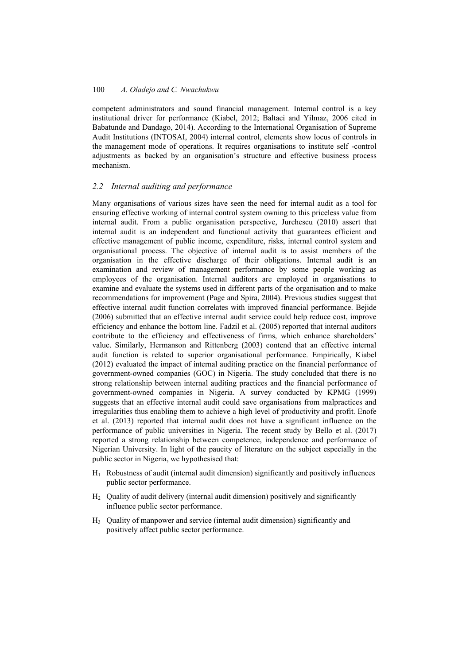competent administrators and sound financial management. Internal control is a key institutional driver for performance (Kiabel, 2012; Baltaci and Yilmaz, 2006 cited in Babatunde and Dandago, 2014). According to the International Organisation of Supreme Audit Institutions (INTOSAI, 2004) internal control, elements show locus of controls in the management mode of operations. It requires organisations to institute self -control adjustments as backed by an organisation's structure and effective business process mechanism.

# *2.2 Internal auditing and performance*

Many organisations of various sizes have seen the need for internal audit as a tool for ensuring effective working of internal control system owning to this priceless value from internal audit. From a public organisation perspective, Jurchescu (2010) assert that internal audit is an independent and functional activity that guarantees efficient and effective management of public income, expenditure, risks, internal control system and organisational process. The objective of internal audit is to assist members of the organisation in the effective discharge of their obligations. Internal audit is an examination and review of management performance by some people working as employees of the organisation. Internal auditors are employed in organisations to examine and evaluate the systems used in different parts of the organisation and to make recommendations for improvement (Page and Spira, 2004). Previous studies suggest that effective internal audit function correlates with improved financial performance. Bejide (2006) submitted that an effective internal audit service could help reduce cost, improve efficiency and enhance the bottom line. Fadzil et al. (2005) reported that internal auditors contribute to the efficiency and effectiveness of firms, which enhance shareholders' value. Similarly, Hermanson and Rittenberg (2003) contend that an effective internal audit function is related to superior organisational performance. Empirically, Kiabel (2012) evaluated the impact of internal auditing practice on the financial performance of government-owned companies (GOC) in Nigeria. The study concluded that there is no strong relationship between internal auditing practices and the financial performance of government-owned companies in Nigeria. A survey conducted by KPMG (1999) suggests that an effective internal audit could save organisations from malpractices and irregularities thus enabling them to achieve a high level of productivity and profit. Enofe et al. (2013) reported that internal audit does not have a significant influence on the performance of public universities in Nigeria. The recent study by Bello et al. (2017) reported a strong relationship between competence, independence and performance of Nigerian University. In light of the paucity of literature on the subject especially in the public sector in Nigeria, we hypothesised that:

- $H_1$  Robustness of audit (internal audit dimension) significantly and positively influences public sector performance.
- H2 Quality of audit delivery (internal audit dimension) positively and significantly influence public sector performance.
- H3 Quality of manpower and service (internal audit dimension) significantly and positively affect public sector performance.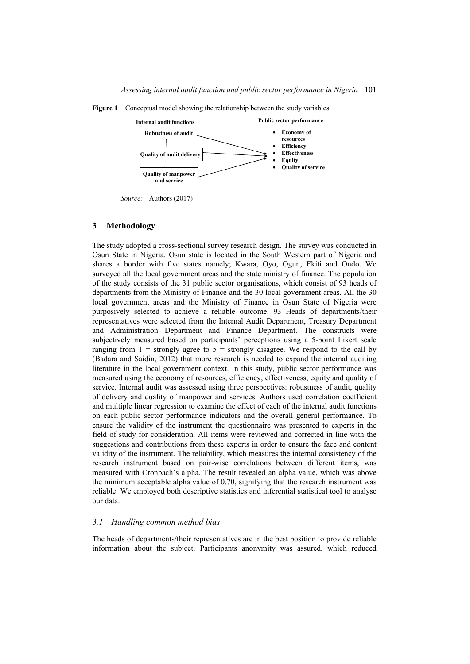

**Figure 1** Conceptual model showing the relationship between the study variables

*Source:* Authors (2017)

#### **3 Methodology**

The study adopted a cross-sectional survey research design. The survey was conducted in Osun State in Nigeria. Osun state is located in the South Western part of Nigeria and shares a border with five states namely; Kwara, Oyo, Ogun, Ekiti and Ondo. We surveyed all the local government areas and the state ministry of finance. The population of the study consists of the 31 public sector organisations, which consist of 93 heads of departments from the Ministry of Finance and the 30 local government areas. All the 30 local government areas and the Ministry of Finance in Osun State of Nigeria were purposively selected to achieve a reliable outcome. 93 Heads of departments/their representatives were selected from the Internal Audit Department, Treasury Department and Administration Department and Finance Department. The constructs were subjectively measured based on participants' perceptions using a 5-point Likert scale ranging from  $1 =$  strongly agree to  $5 =$  strongly disagree. We respond to the call by (Badara and Saidin, 2012) that more research is needed to expand the internal auditing literature in the local government context. In this study, public sector performance was measured using the economy of resources, efficiency, effectiveness, equity and quality of service. Internal audit was assessed using three perspectives: robustness of audit, quality of delivery and quality of manpower and services. Authors used correlation coefficient and multiple linear regression to examine the effect of each of the internal audit functions on each public sector performance indicators and the overall general performance. To ensure the validity of the instrument the questionnaire was presented to experts in the field of study for consideration. All items were reviewed and corrected in line with the suggestions and contributions from these experts in order to ensure the face and content validity of the instrument. The reliability, which measures the internal consistency of the research instrument based on pair-wise correlations between different items, was measured with Cronbach's alpha. The result revealed an alpha value, which was above the minimum acceptable alpha value of 0.70, signifying that the research instrument was reliable. We employed both descriptive statistics and inferential statistical tool to analyse our data.

### *3.1 Handling common method bias*

The heads of departments/their representatives are in the best position to provide reliable information about the subject. Participants anonymity was assured, which reduced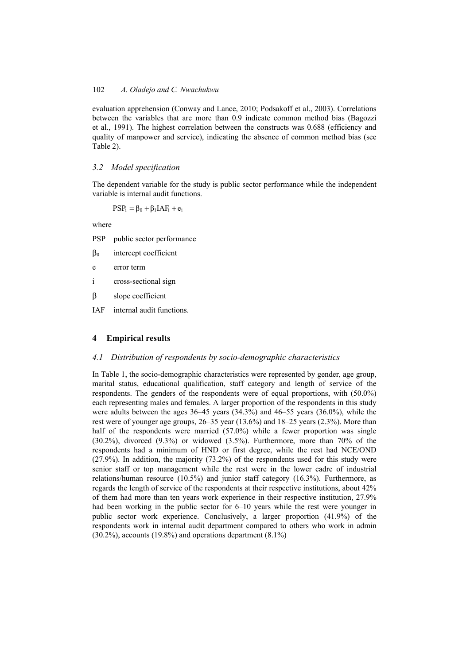evaluation apprehension (Conway and Lance, 2010; Podsakoff et al., 2003). Correlations between the variables that are more than 0.9 indicate common method bias (Bagozzi et al., 1991). The highest correlation between the constructs was 0.688 (efficiency and quality of manpower and service), indicating the absence of common method bias (see Table 2).

## *3.2 Model specification*

The dependent variable for the study is public sector performance while the independent variable is internal audit functions.

 $PSP_i = \beta_0 + \beta_1 IAF_i + e_i$ 

where

PSP public sector performance

β0 intercept coefficient

e error term

i cross-sectional sign

β slope coefficient

IAF internal audit functions.

## **4 Empirical results**

### *4.1 Distribution of respondents by socio-demographic characteristics*

In Table 1, the socio-demographic characteristics were represented by gender, age group, marital status, educational qualification, staff category and length of service of the respondents. The genders of the respondents were of equal proportions, with (50.0%) each representing males and females. A larger proportion of the respondents in this study were adults between the ages 36–45 years (34.3%) and 46–55 years (36.0%), while the rest were of younger age groups, 26–35 year (13.6%) and 18–25 years (2.3%). More than half of the respondents were married (57.0%) while a fewer proportion was single (30.2%), divorced (9.3%) or widowed (3.5%). Furthermore, more than 70% of the respondents had a minimum of HND or first degree, while the rest had NCE/OND (27.9%). In addition, the majority (73.2%) of the respondents used for this study were senior staff or top management while the rest were in the lower cadre of industrial relations/human resource (10.5%) and junior staff category (16.3%). Furthermore, as regards the length of service of the respondents at their respective institutions, about 42% of them had more than ten years work experience in their respective institution, 27.9% had been working in the public sector for 6–10 years while the rest were younger in public sector work experience. Conclusively, a larger proportion (41.9%) of the respondents work in internal audit department compared to others who work in admin (30.2%), accounts (19.8%) and operations department (8.1%)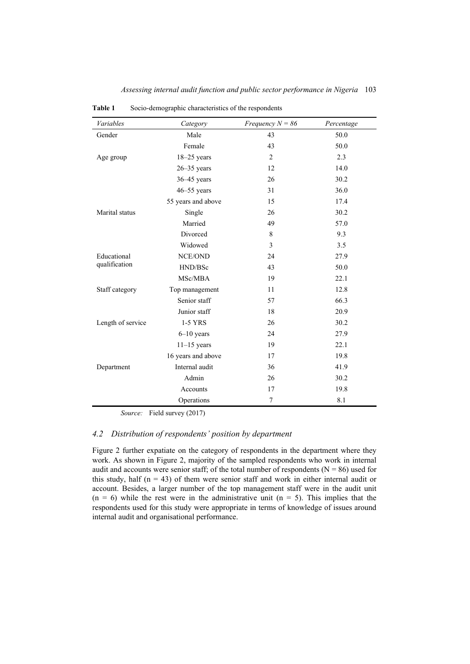| Variables         | Category           | Frequency $N = 86$ | Percentage |
|-------------------|--------------------|--------------------|------------|
| Gender            | Male               | 43                 | 50.0       |
|                   | Female             | 43                 | 50.0       |
| Age group         | $18 - 25$ years    | $\overline{2}$     | 2.3        |
|                   | $26 - 35$ years    | 12                 | 14.0       |
|                   | $36 - 45$ years    | 26                 | 30.2       |
|                   | $46 - 55$ years    | 31                 | 36.0       |
|                   | 55 years and above | 15                 | 17.4       |
| Marital status    | Single             | 26                 | 30.2       |
|                   | Married            | 49                 | 57.0       |
|                   | Divorced           | $\,$ 8 $\,$        | 9.3        |
|                   | Widowed            | 3                  | 3.5        |
| Educational       | <b>NCE/OND</b>     | 24                 | 27.9       |
| qualification     | HND/BSc            | 43                 | 50.0       |
|                   | MSc/MBA            | 19                 | 22.1       |
| Staff category    | Top management     | 11                 | 12.8       |
|                   | Senior staff       | 57                 | 66.3       |
|                   | Junior staff       | 18                 | 20.9       |
| Length of service | 1-5 YRS            | 26                 | 30.2       |
|                   | $6 - 10$ years     | 24                 | 27.9       |
|                   | $11-15$ years      | 19                 | 22.1       |
|                   | 16 years and above | 17                 | 19.8       |
| Department        | Internal audit     | 36                 | 41.9       |
|                   | Admin              | 26                 | 30.2       |
|                   | Accounts           | 17                 | 19.8       |
|                   | Operations         | 7                  | 8.1        |

**Table 1** Socio-demographic characteristics of the respondents

*Source:* Field survey (2017)

## *4.2 Distribution of respondents' position by department*

Figure 2 further expatiate on the category of respondents in the department where they work. As shown in Figure 2, majority of the sampled respondents who work in internal audit and accounts were senior staff; of the total number of respondents ( $N = 86$ ) used for this study, half ( $n = 43$ ) of them were senior staff and work in either internal audit or account. Besides, a larger number of the top management staff were in the audit unit  $(n = 6)$  while the rest were in the administrative unit  $(n = 5)$ . This implies that the respondents used for this study were appropriate in terms of knowledge of issues around internal audit and organisational performance.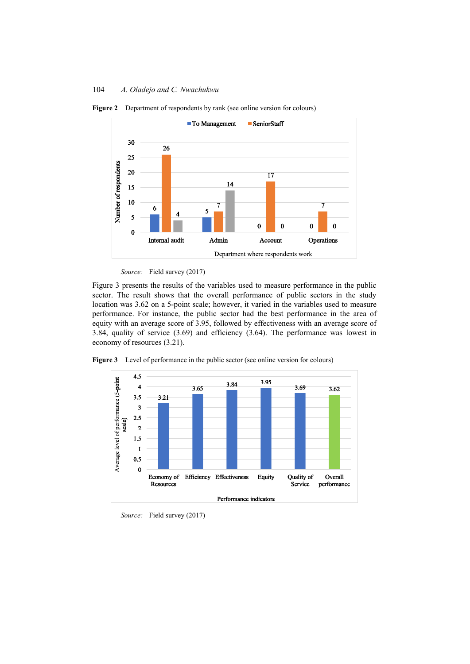

**Figure 2** Department of respondents by rank (see online version for colours)



Figure 3 presents the results of the variables used to measure performance in the public sector. The result shows that the overall performance of public sectors in the study location was 3.62 on a 5-point scale; however, it varied in the variables used to measure performance. For instance, the public sector had the best performance in the area of equity with an average score of 3.95, followed by effectiveness with an average score of 3.84, quality of service (3.69) and efficiency (3.64). The performance was lowest in economy of resources (3.21).





*Source:* Field survey (2017)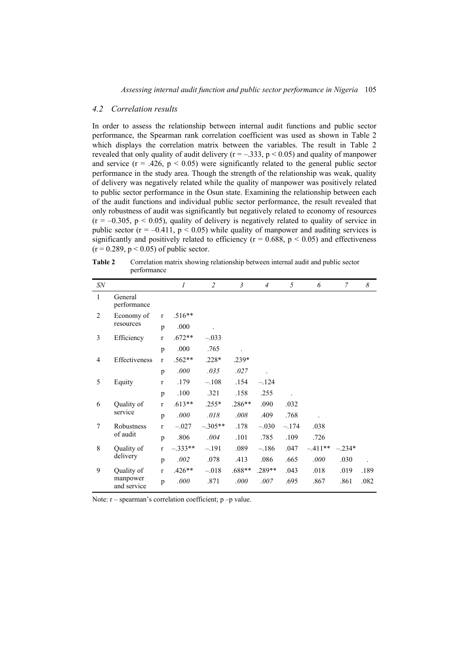### *4.2 Correlation results*

In order to assess the relationship between internal audit functions and public sector performance, the Spearman rank correlation coefficient was used as shown in Table 2 which displays the correlation matrix between the variables. The result in Table 2 revealed that only quality of audit delivery ( $r = -.333$ ,  $p < 0.05$ ) and quality of manpower and service  $(r = .426, p < 0.05)$  were significantly related to the general public sector performance in the study area. Though the strength of the relationship was weak, quality of delivery was negatively related while the quality of manpower was positively related to public sector performance in the Osun state. Examining the relationship between each of the audit functions and individual public sector performance, the result revealed that only robustness of audit was significantly but negatively related to economy of resources  $(r = -0.305, p \le 0.05)$ , quality of delivery is negatively related to quality of service in public sector  $(r = -0.411, p < 0.05)$  while quality of manpower and auditing services is significantly and positively related to efficiency ( $r = 0.688$ ,  $p < 0.05$ ) and effectiveness  $(r = 0.289, p \le 0.05)$  of public sector.

| <b>Table 2</b> | Correlation matrix showing relationship between internal audit and public sector |
|----------------|----------------------------------------------------------------------------------|
|                | performance                                                                      |

| <b>SN</b>       |                         |              | $\mathfrak{1}$ | $\overline{2}$ | $\mathfrak{Z}$ | $\overline{4}$ | 5         | 6        | $\overline{7}$ | 8    |
|-----------------|-------------------------|--------------|----------------|----------------|----------------|----------------|-----------|----------|----------------|------|
| 1               | General<br>performance  |              |                |                |                |                |           |          |                |      |
| 2               | Economy of              | $\mathbf{r}$ | $.516**$       |                |                |                |           |          |                |      |
|                 | resources               | p            | .000           |                |                |                |           |          |                |      |
| 3               | Efficiency              | $\mathbf{r}$ | $.672**$       | $-.033$        |                |                |           |          |                |      |
|                 |                         | p            | .000           | .765           |                |                |           |          |                |      |
| $\overline{4}$  | Effectiveness           | r            | $.562**$       | $.228*$        | $.239*$        |                |           |          |                |      |
|                 |                         | p            | .000           | .035           | .027           |                |           |          |                |      |
| 5               | Equity                  | $\mathbf{r}$ | .179           | $-.108$        | .154           | $-.124$        |           |          |                |      |
|                 |                         | p            | .100           | .321           | .158           | .255           |           |          |                |      |
| 6               | Quality of              | $\mathbf{r}$ | $.613**$       | $.255*$        | $.286**$       | .090           | .032      |          |                |      |
|                 | service                 | p            | .000           | .018           | .008           | .409           | .768      |          |                |      |
| 7               | Robustness              | $\mathbf{r}$ | $-.027$        | $-.305**$      | .178           | $-.030$        | $-.174$   | .038     |                |      |
| of audit        | p                       | .806         | .004           | .101           | .785           | .109           | .726      |          |                |      |
| 8<br>Quality of | $\mathbf{r}$            | $-.333**$    | $-.191$        | .089           | $-.186$        | .047           | $-.411**$ | $-.234*$ |                |      |
|                 | delivery                | p            | .002           | .078           | .413           | .086           | .665      | .000     | .030           |      |
| 9               | Quality of              | $\mathbf{r}$ | $.426**$       | $-.018$        | $.688**$       | $.289**$       | .043      | .018     | .019           | .189 |
|                 | manpower<br>and service | p            | .000           | .871           | .000           | .007           | .695      | .867     | .861           | .082 |

Note:  $r$  – spearman's correlation coefficient;  $p$  –p value.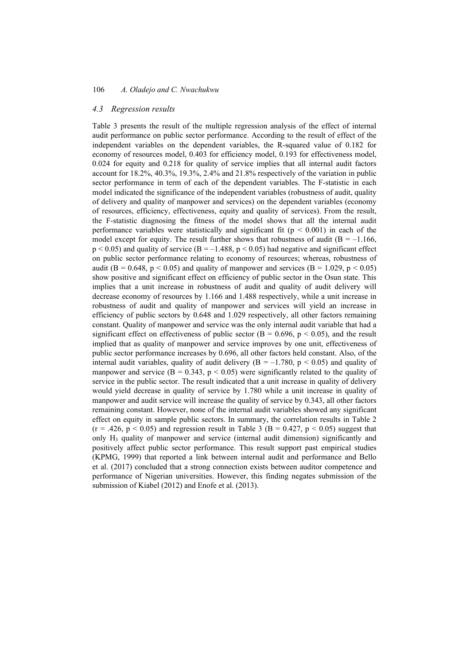#### *4.3 Regression results*

Table 3 presents the result of the multiple regression analysis of the effect of internal audit performance on public sector performance. According to the result of effect of the independent variables on the dependent variables, the R-squared value of 0.182 for economy of resources model, 0.403 for efficiency model, 0.193 for effectiveness model, 0.024 for equity and 0.218 for quality of service implies that all internal audit factors account for 18.2%, 40.3%, 19.3%, 2.4% and 21.8% respectively of the variation in public sector performance in term of each of the dependent variables. The F-statistic in each model indicated the significance of the independent variables (robustness of audit, quality of delivery and quality of manpower and services) on the dependent variables (economy of resources, efficiency, effectiveness, equity and quality of services). From the result, the F-statistic diagnosing the fitness of the model shows that all the internal audit performance variables were statistically and significant fit ( $p < 0.001$ ) in each of the model except for equity. The result further shows that robustness of audit ( $B = -1.166$ ,  $p \le 0.05$ ) and quality of service (B = -1.488, p  $\le 0.05$ ) had negative and significant effect on public sector performance relating to economy of resources; whereas, robustness of audit (B = 0.648, p < 0.05) and quality of manpower and services (B = 1.029, p < 0.05) show positive and significant effect on efficiency of public sector in the Osun state. This implies that a unit increase in robustness of audit and quality of audit delivery will decrease economy of resources by 1.166 and 1.488 respectively, while a unit increase in robustness of audit and quality of manpower and services will yield an increase in efficiency of public sectors by 0.648 and 1.029 respectively, all other factors remaining constant. Quality of manpower and service was the only internal audit variable that had a significant effect on effectiveness of public sector ( $B = 0.696$ ,  $p < 0.05$ ), and the result implied that as quality of manpower and service improves by one unit, effectiveness of public sector performance increases by 0.696, all other factors held constant. Also, of the internal audit variables, quality of audit delivery ( $B = -1.780$ ,  $p < 0.05$ ) and quality of manpower and service ( $B = 0.343$ ,  $p < 0.05$ ) were significantly related to the quality of service in the public sector. The result indicated that a unit increase in quality of delivery would yield decrease in quality of service by 1.780 while a unit increase in quality of manpower and audit service will increase the quality of service by 0.343, all other factors remaining constant. However, none of the internal audit variables showed any significant effect on equity in sample public sectors. In summary, the correlation results in Table 2  $(r = .426, p < 0.05)$  and regression result in Table 3 (B = 0.427, p < 0.05) suggest that only  $H_3$  quality of manpower and service (internal audit dimension) significantly and positively affect public sector performance. This result support past empirical studies (KPMG, 1999) that reported a link between internal audit and performance and Bello et al. (2017) concluded that a strong connection exists between auditor competence and performance of Nigerian universities. However, this finding negates submission of the submission of Kiabel (2012) and Enofe et al. (2013).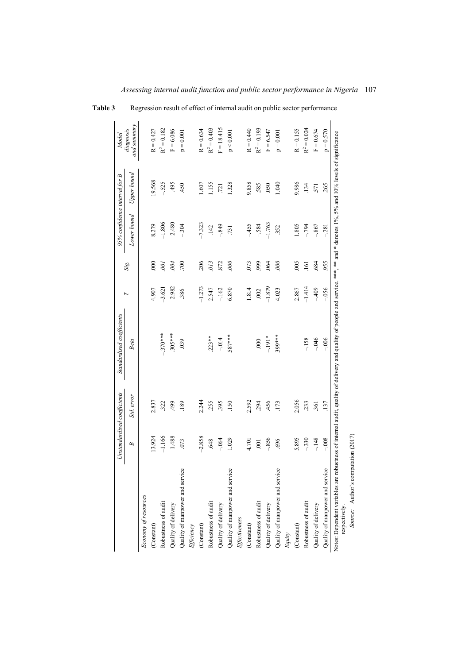|                                                                                                                                                                                                  |          | Unstandardised coefficients | Standardised coefficients |          |                 | 95% confidence interval for B |             | Model                    |
|--------------------------------------------------------------------------------------------------------------------------------------------------------------------------------------------------|----------|-----------------------------|---------------------------|----------|-----------------|-------------------------------|-------------|--------------------------|
|                                                                                                                                                                                                  | B        | Std. error                  | Beta                      | F        | Sig             | Lower bound                   | Upper bound | and summary<br>diagnosis |
| Economy of resources                                                                                                                                                                             |          |                             |                           |          |                 |                               |             |                          |
| $\left( \text{Constant}\right)$                                                                                                                                                                  | 13.924   | 2.837                       |                           | 4.907    | $\approx$       | 8.279                         | 19.568      | $R = 0.427$              |
| Robustness of audit                                                                                                                                                                              | $-1.166$ | 322                         | $-.370***$                | $-3.621$ | $\overline{00}$ | $-1.806$                      | $-.525$     | $R^2 = 0.182$            |
| Quality of delivery                                                                                                                                                                              | $-1.488$ | 499                         | $-.305***$                | $-2.982$ | $-004$          | $-2.480$                      | $-495$      | $F = 6.086$              |
| Quality of manpower and service                                                                                                                                                                  | .073     | .189                        | 039                       | .386     | 700             | $-.304$                       | 450         | $p = 0.001$              |
| <b>Efficiency</b>                                                                                                                                                                                |          |                             |                           |          |                 |                               |             |                          |
| (Constant)                                                                                                                                                                                       | $-2.858$ | 2.244                       |                           | $-1.273$ | 206             | $-7.323$                      | .607        | $R = 0.634$              |
| Robustness of audit                                                                                                                                                                              | 648      | 255                         | $.223**$                  | 2.547    | 0/3             | .142                          | 1.155       | $R^2 = 0.403$            |
| Quality of delivery                                                                                                                                                                              | $-.064$  | 395                         | $-.014$                   | $-162$   | .872            | $-849$                        | .721        | $F = 18.415$             |
| Quality of manpower and service                                                                                                                                                                  | 1.029    | .150                        | .587***                   | 6.870    | 000             | .731                          | 1.328       | $\rm p < 0.001$          |
| Effectiveness                                                                                                                                                                                    |          |                             |                           |          |                 |                               |             |                          |
| (Constant)                                                                                                                                                                                       | 4.701    | 2.592                       |                           | 1.814    | .073            | $-455$                        | 9.858       | $R = 0.440$              |
| Robustness of audit                                                                                                                                                                              | .001     | 294                         | 000                       | .002     | 999             | $-.584$                       | 585         | $R^2 = 0.193$            |
| Quality of delivery                                                                                                                                                                              | $-.856$  | 456                         | $-191*$                   | $-1.879$ | .064            | $-1.763$                      | 050         | $F = 6.547$              |
| Quality of manpower and service                                                                                                                                                                  | ,696     | .173                        | 399***                    | 4.023    | 600             | 352                           | 1.040       | $p = 0.001$              |
| Equity                                                                                                                                                                                           |          |                             |                           |          |                 |                               |             |                          |
| $\left( \text{Constant}\right)$                                                                                                                                                                  | 5.895    | 2.056                       |                           | 2.867    | .005            | 1.805                         | 9.986       | $R = 0.155$              |
| Robustness of audit                                                                                                                                                                              | $-330$   | .233                        | $-158$                    | $-1.414$ | .161            | $-794$                        | .134        | $R^2 = 0.024$            |
| Quality of delivery                                                                                                                                                                              | $-.148$  | .361                        | $-046$                    | $-409$   | .684            | $-.867$                       | 571         | $F = 0.674$              |
| Quality of manpower and service                                                                                                                                                                  | $-0.008$ | .137                        | $-0.006$                  | $-0.056$ | 955             | $-281$                        | 265         | $p = 0.570$              |
| Notes: Dependent variables are robustness of internal audit, quality of delivery and quality of people and service. ***, ** and * denotes 1%, 5% and 10% levels of significance<br>respectively. |          |                             |                           |          |                 |                               |             |                          |
| Source: Author's computation (2017)                                                                                                                                                              |          |                             |                           |          |                 |                               |             |                          |

**Table 3** Regression result of effect of internal audit on public sector performance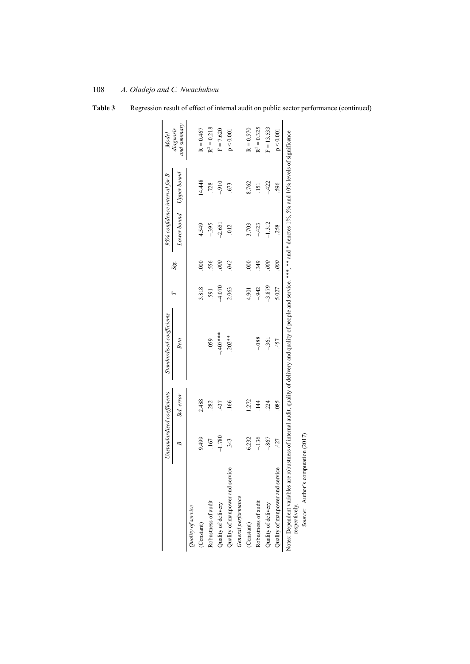|                                                                                                                                                                                                  |          | Unstandardised coefficients | Standardised coefficients | ь        |                  | 95% confidence interval for B |             | Model                    |
|--------------------------------------------------------------------------------------------------------------------------------------------------------------------------------------------------|----------|-----------------------------|---------------------------|----------|------------------|-------------------------------|-------------|--------------------------|
|                                                                                                                                                                                                  | B        | Std. error                  | Beta                      |          | Sig.             | Lower bound                   | Upper bound | and summary<br>diagnosis |
| Quality of service                                                                                                                                                                               |          |                             |                           |          |                  |                               |             |                          |
| (Constant)                                                                                                                                                                                       | 9.499    | 2.488                       |                           | 3.818    | $\overline{000}$ | 4.549                         | 14.448      | $R = 0.467$              |
| Robustness of audit                                                                                                                                                                              | .167     | .282                        | 059                       | 591      | 556              | $-395$                        | .728        | $R^2 = 0.218$            |
| Quality of delivery                                                                                                                                                                              | $-1.780$ | .437                        | $-407$ ***                | 4.070    | 600              | $-2.651$                      | $-910$      | $F = 7.620$              |
| Quality of manpower and service                                                                                                                                                                  | .343     | 166                         | $.202**$                  | 2.063    | 042              | 012                           | 673         | p < 0.001                |
| General performance                                                                                                                                                                              |          |                             |                           |          |                  |                               |             |                          |
| (Constant)                                                                                                                                                                                       | 6.232    | 1.272                       |                           | 4.901    | $\overline{000}$ | 3.703                         | 8.762       | $R = 0.570$              |
| Robustness of audit                                                                                                                                                                              | $-136$   | $\overline{14}$             | $-0.88$                   | $-942$   | 349              | $-.423$                       | .151        | $R^2 = 0.325$            |
| Quality of delivery                                                                                                                                                                              | $-.867$  | 224                         | $-.361$                   | $-3.879$ | $000$            | $-1.312$                      | $-422$      | $F = 13.533$             |
| Quality of manpower and service                                                                                                                                                                  | .427     | .085                        | .457                      | 5.027    | 900.             | .258                          | 596         | p < 0.001                |
| Notes: Dependent variables are robustness of internal audit, quality of delivery and quality of people and service. ***, ** and * denotes 1%, 5% and 10% levels of significance<br>respectively. |          |                             |                           |          |                  |                               |             |                          |
|                                                                                                                                                                                                  |          |                             |                           |          |                  |                               |             |                          |
| Source: Author's computation (2017)                                                                                                                                                              |          |                             |                           |          |                  |                               |             |                          |

Table 3 Regression result of effect of internal audit on public sector performance (continued)

# 108 *A. Oladejo and C. Nwachukwu*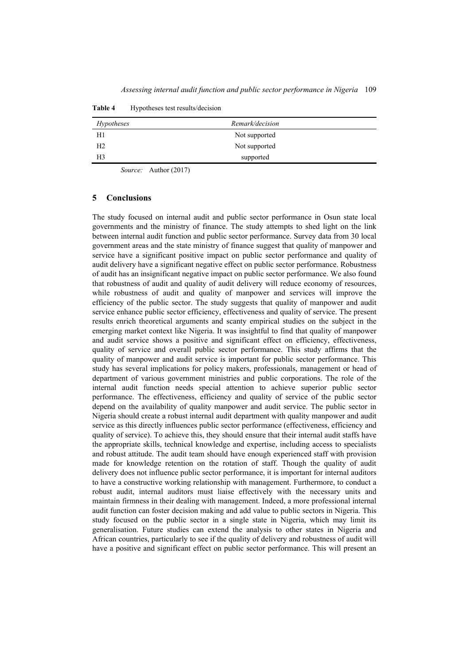| Hypotheses     | Remark/decision |  |
|----------------|-----------------|--|
| H1             | Not supported   |  |
| H <sub>2</sub> | Not supported   |  |
| H <sub>3</sub> | supported       |  |

**Table 4** Hypotheses test results/decision

*Source:* Author (2017)

#### **5 Conclusions**

The study focused on internal audit and public sector performance in Osun state local governments and the ministry of finance. The study attempts to shed light on the link between internal audit function and public sector performance. Survey data from 30 local government areas and the state ministry of finance suggest that quality of manpower and service have a significant positive impact on public sector performance and quality of audit delivery have a significant negative effect on public sector performance. Robustness of audit has an insignificant negative impact on public sector performance. We also found that robustness of audit and quality of audit delivery will reduce economy of resources, while robustness of audit and quality of manpower and services will improve the efficiency of the public sector. The study suggests that quality of manpower and audit service enhance public sector efficiency, effectiveness and quality of service. The present results enrich theoretical arguments and scanty empirical studies on the subject in the emerging market context like Nigeria. It was insightful to find that quality of manpower and audit service shows a positive and significant effect on efficiency, effectiveness, quality of service and overall public sector performance. This study affirms that the quality of manpower and audit service is important for public sector performance. This study has several implications for policy makers, professionals, management or head of department of various government ministries and public corporations. The role of the internal audit function needs special attention to achieve superior public sector performance. The effectiveness, efficiency and quality of service of the public sector depend on the availability of quality manpower and audit service. The public sector in Nigeria should create a robust internal audit department with quality manpower and audit service as this directly influences public sector performance (effectiveness, efficiency and quality of service). To achieve this, they should ensure that their internal audit staffs have the appropriate skills, technical knowledge and expertise, including access to specialists and robust attitude. The audit team should have enough experienced staff with provision made for knowledge retention on the rotation of staff. Though the quality of audit delivery does not influence public sector performance, it is important for internal auditors to have a constructive working relationship with management. Furthermore, to conduct a robust audit, internal auditors must liaise effectively with the necessary units and maintain firmness in their dealing with management. Indeed, a more professional internal audit function can foster decision making and add value to public sectors in Nigeria. This study focused on the public sector in a single state in Nigeria, which may limit its generalisation. Future studies can extend the analysis to other states in Nigeria and African countries, particularly to see if the quality of delivery and robustness of audit will have a positive and significant effect on public sector performance. This will present an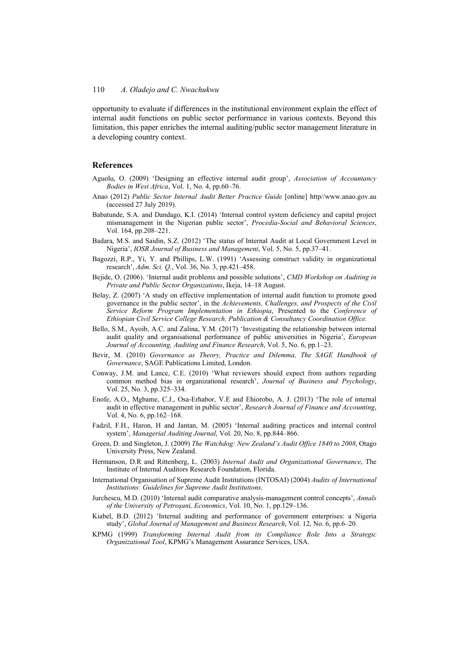opportunity to evaluate if differences in the institutional environment explain the effect of internal audit functions on public sector performance in various contexts. Beyond this limitation, this paper enriches the internal auditing/public sector management literature in a developing country context.

### **References**

- Aguolu, O. (2009) 'Designing an effective internal audit group', *Association of Accountancy Bodies in West Africa*, Vol. 1, No. 4, pp.60–76.
- Anao (2012) *Public Sector Internal Audit Better Practice Guide* [online] http//www.anao.gov.au (accessed 27 July 2019).
- Babatunde, S.A. and Dandago, K.I. (2014) 'Internal control system deficiency and capital project mismanagement in the Nigerian public sector', *Procedia-Social and Behavioral Sciences*, Vol. 164, pp.208–221.
- Badara, M.S. and Saidin, S.Z. (2012) 'The status of Internal Audit at Local Government Level in Nigeria', *IOSR Journal of Business and Management*, Vol. 5, No. 5, pp.37–41.
- Bagozzi, R.P., Yi, Y. and Phillips, L.W. (1991) 'Assessing construct validity in organizational research', *Adm. Sci. Q.*, Vol. 36, No. 3, pp.421–458.
- Bejide, O. (2006). 'Internal audit problems and possible solutions', *CMD Workshop on Auditing in Private and Public Sector Organizations*, Ikeja, 14–18 August.
- Belay, Z. (2007) 'A study on effective implementation of internal audit function to promote good governance in the public sector', in the *Achievements, Challenges, and Prospects of the Civil Service Reform Program Implementation in Ethiopia*, Presented to the *Conference of Ethiopian Civil Service College Research, Publication & Consultancy Coordination Office.*
- Bello, S.M., Ayoib, A.C. and Zalina, Y.M. (2017) 'Investigating the relationship between internal audit quality and organisational performance of public universities in Nigeria', *European Journal of Accounting, Auditing and Finance Research*, Vol. 5, No. 6, pp.1–23.
- Bevir, M. (2010) *Governance as Theory, Practice and Dilemma, The SAGE Handbook of Governance*, SAGE Publications Limited, London.
- Conway, J.M. and Lance, C.E. (2010) 'What reviewers should expect from authors regarding common method bias in organizational research', *Journal of Business and Psychology*, Vol. 25, No. 3, pp.325–334.
- Enofe, A.O., Mgbame, C.J., Osa-Erhabor, V.E and Ehiorobo, A. J. (2013) 'The role of internal audit in effective management in public sector', *Research Journal of Finance and Accounting*, Vol. 4, No. 6, pp.162–168.
- Fadzil, F.H., Haron, H and Jantan, M. (2005) 'Internal auditing practices and internal control system', *Managerial Auditing Journal*, Vol. 20, No. 8, pp.844–866.
- Green, D. and Singleton, J. (2009) *The Watchdog: New Zealand's Audit Office 1840 to 2008*, Otago University Press, New Zealand.
- Hermanson, D.R and Rittenberg, L. (2003) *Internal Audit and Organizational Governance*, The Institute of Internal Auditors Research Foundation, Florida.
- International Organisation of Supreme Audit Institutions (INTOSAI) (2004) *Audits of International Institutions: Guidelines for Supreme Audit Institutions*.
- Jurchescu, M.D. (2010) 'Internal audit comparative analysis-management control concepts', *Annals of the University of Petroşani, Economics*, Vol. 10, No. 1, pp.129–136.
- Kiabel, B.D. (2012) 'Internal auditing and performance of government enterprises: a Nigeria study', *Global Journal of Management and Business Research*, Vol. 12, No. 6, pp.6–20.
- KPMG (1999) *Transforming Internal Audit from its Compliance Role Into a Strategic Organizational Tool*, KPMG's Management Assurance Services, USA.